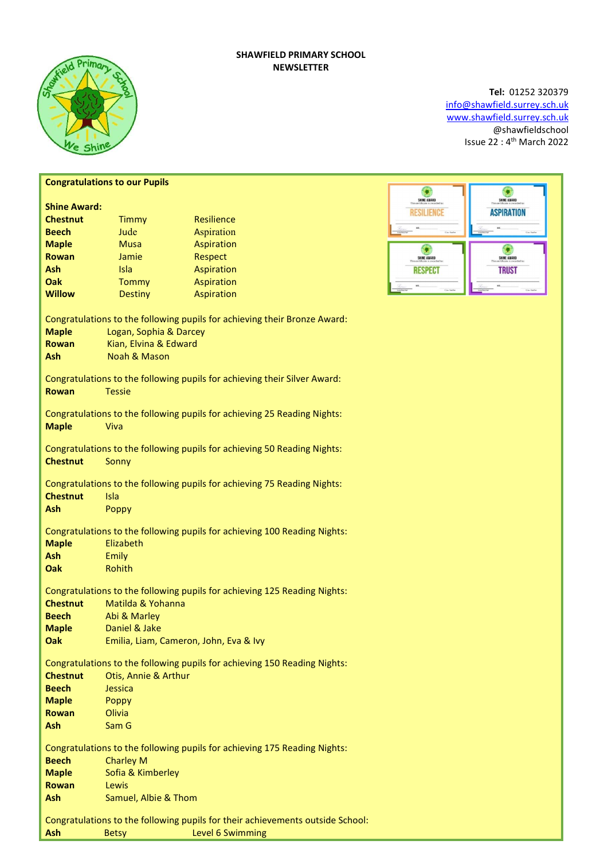# SHAWFIELD PRIMARY SCHOOL NEWSLETTER



# Tel: 01252 320379 info@shawfield.surrey.sch.uk www.shawfield.surrey.sch.uk @shawfieldschool Issue 22 : 4th March 2022

SHINE AWARD **ASPIRATION** 

> G **SHINE AWARD TRUST**  $\mathbf{a}_i$

| <b>Congratulations to our Pupils</b>                                      |                                                                                               |                                                                                |                |  |  |  |
|---------------------------------------------------------------------------|-----------------------------------------------------------------------------------------------|--------------------------------------------------------------------------------|----------------|--|--|--|
|                                                                           |                                                                                               |                                                                                | SHINE AWARD    |  |  |  |
| <b>Shine Award:</b>                                                       |                                                                                               |                                                                                | RESILIENCE     |  |  |  |
| <b>Chestnut</b><br><b>Beech</b>                                           | <b>Timmy</b><br>Jude                                                                          | Resilience<br>Aspiration                                                       |                |  |  |  |
| <b>Maple</b>                                                              | <b>Musa</b>                                                                                   | <b>Aspiration</b>                                                              |                |  |  |  |
| <b>Rowan</b>                                                              | Jamie                                                                                         | <b>Respect</b>                                                                 | SHINE AWARD    |  |  |  |
| <b>Ash</b>                                                                | Isla                                                                                          | Aspiration                                                                     | <b>RESPECT</b> |  |  |  |
| Oak                                                                       | Tommy                                                                                         | <b>Aspiration</b>                                                              |                |  |  |  |
| <b>Willow</b>                                                             | <b>Destiny</b>                                                                                | Aspiration                                                                     |                |  |  |  |
|                                                                           |                                                                                               |                                                                                |                |  |  |  |
| Congratulations to the following pupils for achieving their Bronze Award: |                                                                                               |                                                                                |                |  |  |  |
| <b>Maple</b>                                                              | Logan, Sophia & Darcey                                                                        |                                                                                |                |  |  |  |
| <b>Rowan</b>                                                              | Kian, Elvina & Edward                                                                         |                                                                                |                |  |  |  |
| <b>Ash</b>                                                                | <b>Noah &amp; Mason</b>                                                                       |                                                                                |                |  |  |  |
|                                                                           |                                                                                               |                                                                                |                |  |  |  |
|                                                                           |                                                                                               | Congratulations to the following pupils for achieving their Silver Award:      |                |  |  |  |
| <b>Rowan</b>                                                              | <b>Tessie</b>                                                                                 |                                                                                |                |  |  |  |
| Congratulations to the following pupils for achieving 25 Reading Nights:  |                                                                                               |                                                                                |                |  |  |  |
| <b>Maple</b>                                                              | Viva                                                                                          |                                                                                |                |  |  |  |
|                                                                           |                                                                                               |                                                                                |                |  |  |  |
|                                                                           | Congratulations to the following pupils for achieving 50 Reading Nights:                      |                                                                                |                |  |  |  |
| <b>Chestnut</b>                                                           | Sonny                                                                                         |                                                                                |                |  |  |  |
|                                                                           |                                                                                               |                                                                                |                |  |  |  |
| <b>Chestnut</b>                                                           | Congratulations to the following pupils for achieving 75 Reading Nights:<br>Isla              |                                                                                |                |  |  |  |
| Ash                                                                       | Poppy                                                                                         |                                                                                |                |  |  |  |
|                                                                           |                                                                                               |                                                                                |                |  |  |  |
|                                                                           | Congratulations to the following pupils for achieving 100 Reading Nights:                     |                                                                                |                |  |  |  |
| <b>Maple</b>                                                              | Elizabeth                                                                                     |                                                                                |                |  |  |  |
| Ash                                                                       | <b>Emily</b>                                                                                  |                                                                                |                |  |  |  |
| Oak                                                                       | Rohith                                                                                        |                                                                                |                |  |  |  |
|                                                                           |                                                                                               |                                                                                |                |  |  |  |
|                                                                           | Congratulations to the following pupils for achieving 125 Reading Nights:                     |                                                                                |                |  |  |  |
| <b>Chestnut</b>                                                           | Matilda & Yohanna                                                                             |                                                                                |                |  |  |  |
| <b>Beech</b>                                                              | Abi & Marley                                                                                  |                                                                                |                |  |  |  |
| <b>Maple</b><br>Oak                                                       | Daniel & Jake<br>Emilia, Liam, Cameron, John, Eva & Ivy                                       |                                                                                |                |  |  |  |
|                                                                           |                                                                                               |                                                                                |                |  |  |  |
| Congratulations to the following pupils for achieving 150 Reading Nights: |                                                                                               |                                                                                |                |  |  |  |
| <b>Chestnut</b>                                                           | Otis, Annie & Arthur                                                                          |                                                                                |                |  |  |  |
| <b>Beech</b>                                                              | Jessica                                                                                       |                                                                                |                |  |  |  |
| <b>Maple</b>                                                              | Poppy                                                                                         |                                                                                |                |  |  |  |
| <b>Rowan</b>                                                              | Olivia                                                                                        |                                                                                |                |  |  |  |
| Ash                                                                       | Sam G                                                                                         |                                                                                |                |  |  |  |
|                                                                           |                                                                                               |                                                                                |                |  |  |  |
| <b>Beech</b>                                                              | Congratulations to the following pupils for achieving 175 Reading Nights:<br><b>Charley M</b> |                                                                                |                |  |  |  |
| <b>Maple</b>                                                              | Sofia & Kimberley                                                                             |                                                                                |                |  |  |  |
| <b>Rowan</b>                                                              | Lewis                                                                                         |                                                                                |                |  |  |  |
| Ash                                                                       | Samuel, Albie & Thom                                                                          |                                                                                |                |  |  |  |
|                                                                           |                                                                                               |                                                                                |                |  |  |  |
|                                                                           |                                                                                               | Congratulations to the following pupils for their achievements outside School: |                |  |  |  |
| Ash                                                                       | <b>Betsy</b>                                                                                  | Level 6 Swimming                                                               |                |  |  |  |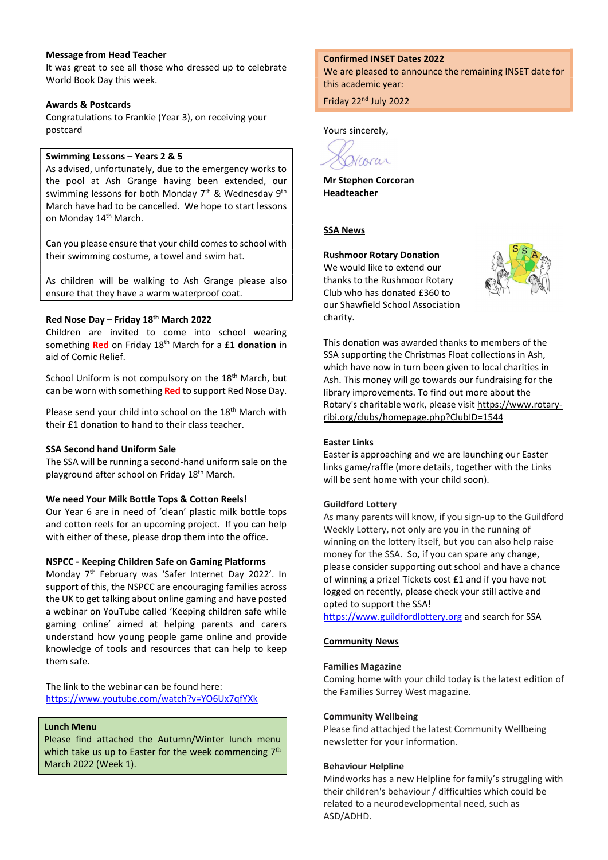## Message from Head Teacher

It was great to see all those who dressed up to celebrate World Book Day this week.

#### Awards & Postcards

Congratulations to Frankie (Year 3), on receiving your postcard

#### Swimming Lessons – Years 2 & 5

As advised, unfortunately, due to the emergency works to the pool at Ash Grange having been extended, our swimming lessons for both Monday 7<sup>th</sup> & Wednesday 9<sup>th</sup> March have had to be cancelled. We hope to start lessons on Monday 14<sup>th</sup> March.

Can you please ensure that your child comes to school with their swimming costume, a towel and swim hat.

As children will be walking to Ash Grange please also ensure that they have a warm waterproof coat.

# Red Nose Day – Friday 18th March 2022

Children are invited to come into school wearing something Red on Friday 18<sup>th</sup> March for a £1 donation in aid of Comic Relief.

School Uniform is not compulsory on the 18<sup>th</sup> March, but can be worn with something Red to support Red Nose Day.

Please send your child into school on the 18<sup>th</sup> March with their £1 donation to hand to their class teacher.

#### SSA Second hand Uniform Sale

The SSA will be running a second-hand uniform sale on the playground after school on Friday 18th March.

#### We need Your Milk Bottle Tops & Cotton Reels!

Our Year 6 are in need of 'clean' plastic milk bottle tops and cotton reels for an upcoming project. If you can help with either of these, please drop them into the office.

## NSPCC - Keeping Children Safe on Gaming Platforms

Monday 7th February was 'Safer Internet Day 2022'. In support of this, the NSPCC are encouraging families across the UK to get talking about online gaming and have posted a webinar on YouTube called 'Keeping children safe while gaming online' aimed at helping parents and carers understand how young people game online and provide knowledge of tools and resources that can help to keep them safe.

The link to the webinar can be found here: https://www.youtube.com/watch?v=YO6Ux7qfYXk

## Lunch Menu

Please find attached the Autumn/Winter lunch menu which take us up to Easter for the week commencing  $7<sup>th</sup>$ March 2022 (Week 1).

# Confirmed INSET Dates 2022

We are pleased to announce the remaining INSET date for this academic year:

Friday 22<sup>nd</sup> July 2022

Yours sincerely,

Varar

Mr Stephen Corcoran Headteacher

# SSA News

# Rushmoor Rotary Donation

We would like to extend our thanks to the Rushmoor Rotary Club who has donated £360 to our Shawfield School Association charity.



This donation was awarded thanks to members of the SSA supporting the Christmas Float collections in Ash, which have now in turn been given to local charities in Ash. This money will go towards our fundraising for the library improvements. To find out more about the Rotary's charitable work, please visit https://www.rotaryribi.org/clubs/homepage.php?ClubID=1544

## Easter Links

Easter is approaching and we are launching our Easter links game/raffle (more details, together with the Links will be sent home with your child soon).

#### Guildford Lottery

As many parents will know, if you sign-up to the Guildford Weekly Lottery, not only are you in the running of winning on the lottery itself, but you can also help raise money for the SSA. So, if you can spare any change, please consider supporting out school and have a chance of winning a prize! Tickets cost £1 and if you have not logged on recently, please check your still active and opted to support the SSA!

https://www.guildfordlottery.org and search for SSA

## Community News

#### Families Magazine

Coming home with your child today is the latest edition of the Families Surrey West magazine.

#### Community Wellbeing

Please find attachjed the latest Community Wellbeing newsletter for your information.

#### Behaviour Helpline

Mindworks has a new Helpline for family's struggling with their children's behaviour / difficulties which could be related to a neurodevelopmental need, such as ASD/ADHD.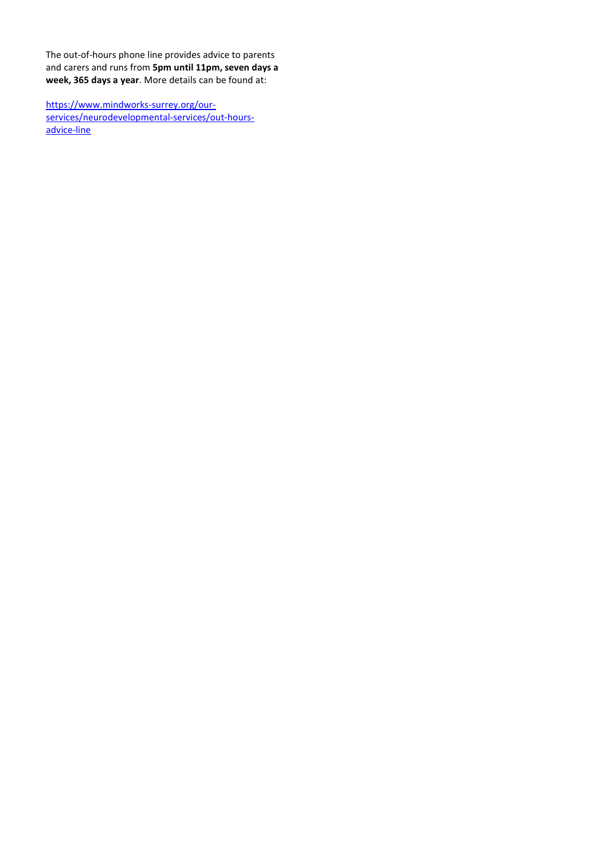The out-of-hours phone line provides advice to parents and carers and runs from 5pm until 11pm, seven days a week, 365 days a year. More details can be found at:

https://www.mindworks-surrey.org/ourservices/neurodevelopmental-services/out-hoursadvice-line